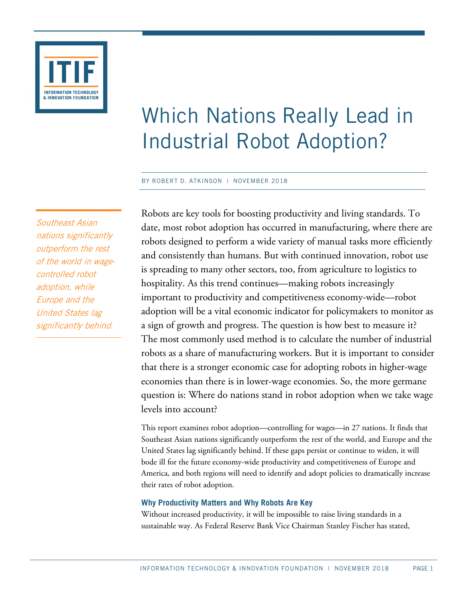

# Which Nations Really Lead in Industrial Robot Adoption?

#### BY ROBERT D. ATKINSON | NOVEMBER 2018

Southeast Asian nations significantly outperform the rest of the world in wagecontrolled robot adoption, while Europe and the United States lag significantly behind.

Robots are key tools for boosting productivity and living standards. To date, most robot adoption has occurred in manufacturing, where there are robots designed to perform a wide variety of manual tasks more efficiently and consistently than humans. But with continued innovation, robot use is spreading to many other sectors, too, from agriculture to logistics to hospitality. As this trend continues—making robots increasingly important to productivity and competitiveness economy-wide—robot adoption will be a vital economic indicator for policymakers to monitor as a sign of growth and progress. The question is how best to measure it? The most commonly used method is to calculate the number of industrial robots as a share of manufacturing workers. But it is important to consider that there is a stronger economic case for adopting robots in higher-wage economies than there is in lower-wage economies. So, the more germane question is: Where do nations stand in robot adoption when we take wage levels into account?

This report examines robot adoption—controlling for wages—in 27 nations. It finds that Southeast Asian nations significantly outperform the rest of the world, and Europe and the United States lag significantly behind. If these gaps persist or continue to widen, it will bode ill for the future economy-wide productivity and competitiveness of Europe and America, and both regions will need to identify and adopt policies to dramatically increase their rates of robot adoption.

## **Why Productivity Matters and Why Robots Are Key**

Without increased productivity, it will be impossible to raise living standards in a sustainable way. As Federal Reserve Bank Vice Chairman Stanley Fischer has stated,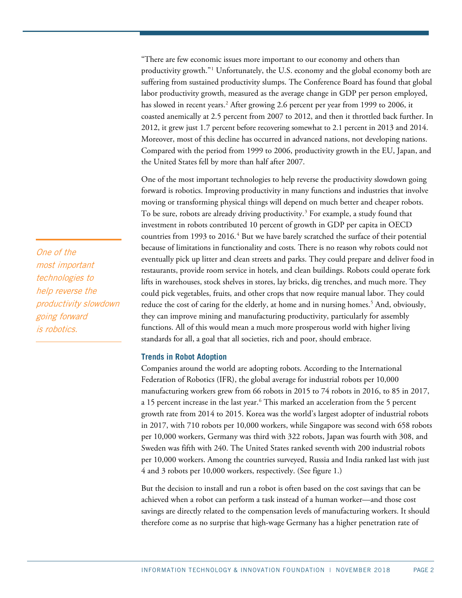"There are few economic issues more important to our economy and others than productivity growth."[1](#page-7-0) Unfortunately, the U.S. economy and the global economy both are suffering from sustained productivity slumps. The Conference Board has found that global labor productivity growth, measured as the average change in GDP per person employed, has slowed in recent years.<sup>[2](#page-7-1)</sup> After growing 2.6 percent per year from 1999 to 2006, it coasted anemically at 2.5 percent from 2007 to 2012, and then it throttled back further. In 2012, it grew just 1.7 percent before recovering somewhat to 2.1 percent in 2013 and 2014. Moreover, most of this decline has occurred in advanced nations, not developing nations. Compared with the period from 1999 to 2006, productivity growth in the EU, Japan, and the United States fell by more than half after 2007.

One of the most important technologies to help reverse the productivity slowdown going forward is robotics. Improving productivity in many functions and industries that involve moving or transforming physical things will depend on much better and cheaper robots. To be sure, robots are already driving productivity.<sup>[3](#page-7-2)</sup> For example, a study found that investment in robots contributed 10 percent of growth in GDP per capita in OECD countries from 1993 to 2016.<sup>[4](#page-7-3)</sup> But we have barely scratched the surface of their potential because of limitations in functionality and costs. There is no reason why robots could not eventually pick up litter and clean streets and parks. They could prepare and deliver food in restaurants, provide room service in hotels, and clean buildings. Robots could operate fork lifts in warehouses, stock shelves in stores, lay bricks, dig trenches, and much more. They could pick vegetables, fruits, and other crops that now require manual labor. They could reduce the cost of caring for the elderly, at home and in nursing homes.<sup>[5](#page-7-4)</sup> And, obviously, they can improve mining and manufacturing productivity, particularly for assembly functions. All of this would mean a much more prosperous world with higher living standards for all, a goal that all societies, rich and poor, should embrace.

#### **Trends in Robot Adoption**

Companies around the world are adopting robots. According to the International Federation of Robotics (IFR), the global average for industrial robots per 10,000 manufacturing workers grew from 66 robots in 2015 to [74 robots](https://ifr.org/ifr-press-releases/news/robot-density-rises-globally) in 2016, to 85 in 2017, a 15 percent increase in the last year. [6](#page-7-5) This marked an acceleration from the 5 percent growth rate from 2014 to 2015. Korea was the world's largest adopter of industrial robots in 2017, with 710 robots per 10,000 workers, while Singapore was second with 658 robots per 10,000 workers, Germany was third with 322 robots, Japan was fourth with 308, and Sweden was fifth with 240. The United States ranked seventh with 200 industrial robots per 10,000 workers. Among the countries surveyed, Russia and India ranked last with just 4 and 3 robots per 10,000 workers, respectively. (See [figure 1.](#page-2-0))

But the decision to install and run a robot is often based on the cost savings that can be achieved when a robot can perform a task instead of a human worker—and those cost savings are directly related to the compensation levels of manufacturing workers. It should therefore come as no surprise that high-wage Germany has a higher penetration rate of

One of the most important technologies to help reverse the productivity slowdown going forward is robotics.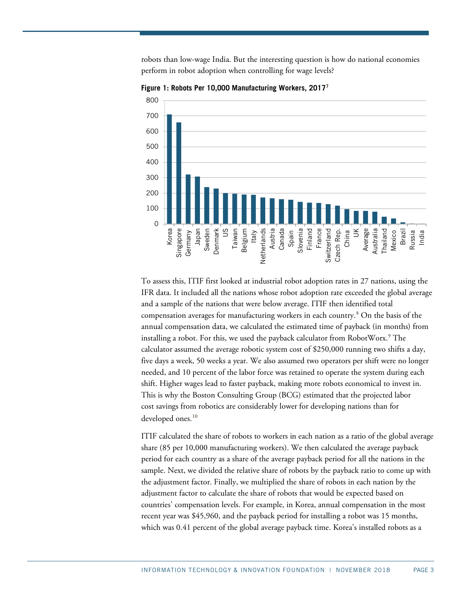robots than low-wage India. But the interesting question is how do national economies perform in robot adoption when controlling for wage levels?



<span id="page-2-0"></span>**Figure 1: Robots Per 10,000 Manufacturing Workers, 2017[7](#page-7-6)**

To assess this, ITIF first looked at industrial robot adoption rates in 27 nations, using the IFR data. It included all the nations whose robot adoption rate exceeded the global average and a sample of the nations that were below average. ITIF then identified total compensation averages for manufacturing workers in each country. [8](#page-7-7) On the basis of the annual compensation data, we calculated the estimated time of payback (in months) from installing a robot. For this, we used the payback calculator from RobotWorx.<sup>[9](#page-7-8)</sup> The calculator assumed the average robotic system cost of \$250,000 running two shifts a day, five days a week, 50 weeks a year. We also assumed two operators per shift were no longer needed, and 10 percent of the labor force was retained to operate the system during each shift. Higher wages lead to faster payback, making more robots economical to invest in. This is why the Boston Consulting Group (BCG) estimated that the projected labor cost savings from robotics are considerably lower for developing nations than for developed ones. [10](#page-7-9)

ITIF calculated the share of robots to workers in each nation as a ratio of the global average share (85 per 10,000 manufacturing workers). We then calculated the average payback period for each country as a share of the average payback period for all the nations in the sample. Next, we divided the relative share of robots by the payback ratio to come up with the adjustment factor. Finally, we multiplied the share of robots in each nation by the adjustment factor to calculate the share of robots that would be expected based on countries' compensation levels. For example, in Korea, annual compensation in the most recent year was \$45,960, and the payback period for installing a robot was 15 months, which was 0.41 percent of the global average payback time. Korea's installed robots as a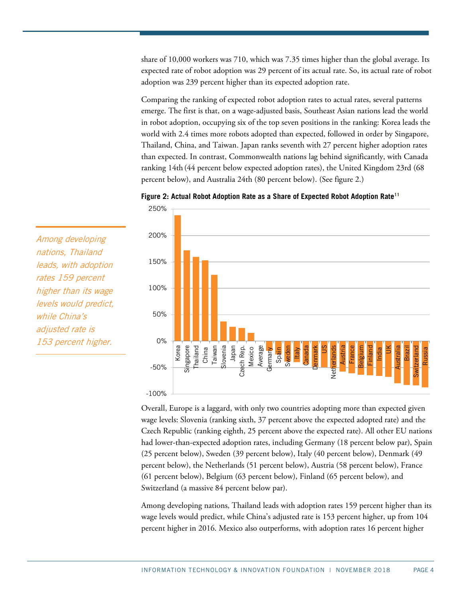share of 10,000 workers was 710, which was 7.35 times higher than the global average. Its expected rate of robot adoption was 29 percent of its actual rate. So, its actual rate of robot adoption was 239 percent higher than its expected adoption rate.

Comparing the ranking of expected robot adoption rates to actual rates, several patterns emerge. The first is that, on a wage-adjusted basis, Southeast Asian nations lead the world in robot adoption, occupying six of the top seven positions in the ranking: Korea leads the world with 2.4 times more robots adopted than expected, followed in order by Singapore, Thailand, China, and Taiwan. Japan ranks seventh with 27 percent higher adoption rates than expected. In contrast, Commonwealth nations lag behind significantly, with Canada ranking 14th (44 percent below expected adoption rates), the United Kingdom 23rd (68 percent below), and Australia 24th (80 percent below). (See [figure 2.](#page-3-0))

<span id="page-3-0"></span>



Overall, Europe is a laggard, with only two countries adopting more than expected given wage levels: Slovenia (ranking sixth, 37 percent above the expected adopted rate) and the Czech Republic (ranking eighth, 25 percent above the expected rate). All other EU nations had lower-than-expected adoption rates, including Germany (18 percent below par), Spain (25 percent below), Sweden (39 percent below), Italy (40 percent below), Denmark (49 percent below), the Netherlands (51 percent below), Austria (58 percent below), France (61 percent below), Belgium (63 percent below), Finland (65 percent below), and Switzerland (a massive 84 percent below par).

Among developing nations, Thailand leads with adoption rates 159 percent higher than its wage levels would predict, while China's adjusted rate is 153 percent higher, up from 104 percent higher in 2016. Mexico also outperforms, with adoption rates 16 percent higher

Among developing nations, Thailand leads, with adoption rates 159 percent higher than its wage levels would predict, while China's adjusted rate is 153 percent higher.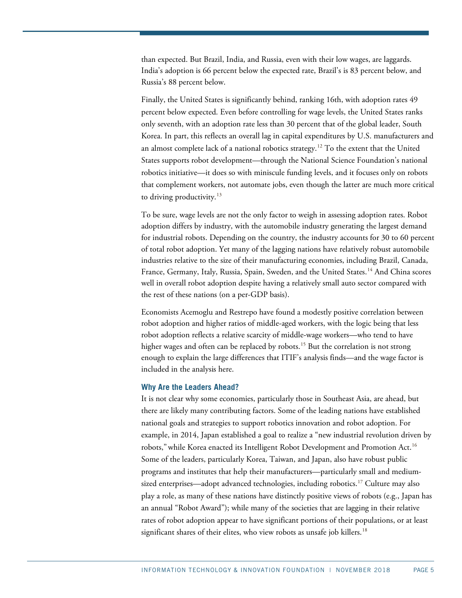than expected. But Brazil, India, and Russia, even with their low wages, are laggards. India's adoption is 66 percent below the expected rate, Brazil's is 83 percent below, and Russia's 88 percent below.

Finally, the United States is significantly behind, ranking 16th, with adoption rates 49 percent below expected. Even before controlling for wage levels, the United States ranks only seventh, with an adoption rate less than 30 percent that of the global leader, South Korea. In part, this reflects an overall lag in capital expenditures by U.S. manufacturers and an almost complete lack of a national robotics strategy.<sup>[12](#page-7-11)</sup> To the extent that the United States supports robot development—through the National Science Foundation's national robotics initiative—it does so with miniscule funding levels, and it focuses only on robots that complement workers, not automate jobs, even though the latter are much more critical to driving productivity. $13$ 

To be sure, wage levels are not the only factor to weigh in assessing adoption rates. Robot adoption differs by industry, with the automobile industry generating the largest demand for industrial robots. Depending on the country, the industry accounts for 30 to 60 percent of total robot adoption. Yet many of the lagging nations have relatively robust automobile industries relative to the size of their manufacturing economies, including Brazil, Canada, France, Germany, Italy, Russia, Spain, Sweden, and the United States.[14](#page-7-13) And China scores well in overall robot adoption despite having a relatively small auto sector compared with the rest of these nations (on a per-GDP basis).

Economists Acemoglu and Restrepo have found a modestly positive correlation between robot adoption and higher ratios of middle-aged workers, with the logic being that less robot adoption reflects a relative scarcity of middle-wage workers—who tend to have higher wages and often can be replaced by robots. [15](#page-7-14) But the correlation is not strong enough to explain the large differences that ITIF's analysis finds—and the wage factor is included in the analysis here.

#### **Why Are the Leaders Ahead?**

It is not clear why some economies, particularly those in Southeast Asia, are ahead, but there are likely many contributing factors. Some of the leading nations have established national goals and strategies to support robotics innovation and robot adoption. For example, in 2014, Japan established a goal to realize a "new industrial revolution driven by robots," while Korea enacted its Intelligent Robot Development and Promotion Act.<sup>[16](#page-7-15)</sup> Some of the leaders, particularly Korea, Taiwan, and Japan, also have robust public programs and institutes that help their manufacturers—particularly small and medium-sized enterprises—adopt advanced technologies, including robotics.<sup>[17](#page-7-16)</sup> Culture may also play a role, as many of these nations have distinctly positive views of robots (e.g., Japan has an annual "Robot Award"); while many of the societies that are lagging in their relative rates of robot adoption appear to have significant portions of their populations, or at least significant shares of their elites, who view robots as unsafe job killers.<sup>[18](#page-7-17)</sup>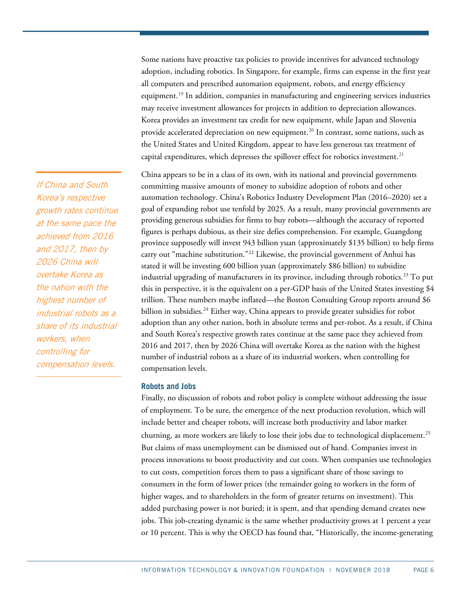Some nations have proactive tax policies to provide incentives for advanced technology adoption, including robotics. In Singapore, for example, firms can expense in the first year all computers and prescribed automation equipment, robots, and energy efficiency equipment.<sup>[19](#page-7-18)</sup> In addition, companies in manufacturing and engineering services industries may receive investment allowances for projects in addition to depreciation allowances. Korea provides an investment tax credit for new equipment, while Japan and Slovenia provide accelerated depreciation on new equipment.<sup>[20](#page-7-19)</sup> In contrast, some nations, such as the United States and United Kingdom, appear to have less generous tax treatment of capital expenditures, which depresses the spillover effect for robotics investment.<sup>[21](#page-7-20)</sup>

China appears to be in a class of its own, with its national and provincial governments committing massive amounts of money to subsidize adoption of robots and other automation technology. China's Robotics Industry Development Plan (2016–2020) set a goal of expanding robot use tenfold by 2025. As a result, many provincial governments are providing generous subsidies for firms to buy robots—although the accuracy of reported figures is perhaps dubious, as their size defies comprehension. For example, Guangdong province supposedly will invest 943 billion yuan (approximately \$135 billion) to help firms carry out "machine substitution."<sup>[22](#page-7-21)</sup> Likewise, the provincial government of Anhui has stated it will be investing 600 billion yuan (approximately \$86 billion) to subsidize industrial upgrading of manufacturers in its province, including through robotics.<sup>[23](#page-7-22)</sup> To put this in perspective, it is the equivalent on a per-GDP basis of the United States investing \$4 trillion. These numbers maybe inflated—the Boston Consulting Group reports around \$6 billion in subsidies.<sup>[24](#page-7-23)</sup> Either way, China appears to provide greater subsidies for robot adoption than any other nation, both in absolute terms and per-robot. As a result, if China and South Korea's respective growth rates continue at the same pace they achieved from 2016 and 2017, then by 2026 China will overtake Korea as the nation with the highest number of industrial robots as a share of its industrial workers, when controlling for compensation levels.

#### **Robots and Jobs**

Finally, no discussion of robots and robot policy is complete without addressing the issue of employment. To be sure, the emergence of the next production revolution, which will include better and cheaper robots, will increase both productivity and labor market churning, as more workers are likely to lose their jobs due to technological displacement.<sup>[25](#page-7-24)</sup> But claims of mass unemployment can be dismissed out of hand. Companies invest in process innovations to boost productivity and cut costs. When companies use technologies to cut costs, competition forces them to pass a significant share of those savings to consumers in the form of lower prices (the remainder going to workers in the form of higher wages, and to shareholders in the form of greater returns on investment). This added purchasing power is not buried; it is spent, and that spending demand creates new jobs. This job-creating dynamic is the same whether productivity grows at 1 percent a year or 10 percent. This is why the OECD has found that, "Historically, the income-generating

If China and South Korea's respective growth rates continue at the same pace the achieved from 2016 and 2017, then by 2026 China will overtake Korea as the nation with the highest number of industrial robots as a share of its industrial workers, when controlling for compensation levels.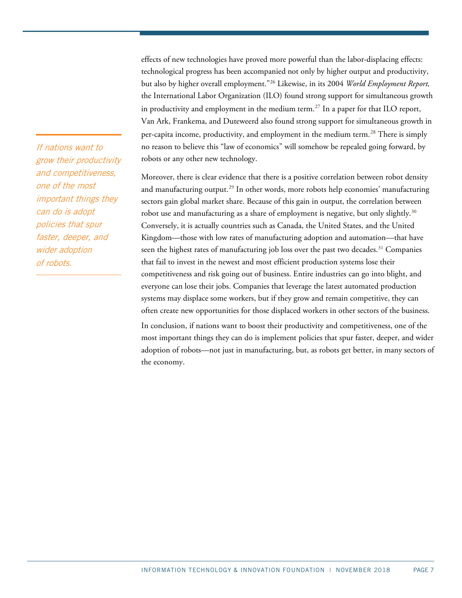effects of new technologies have proved more powerful than the labor-displacing effects: technological progress has been accompanied not only by higher output and productivity, but also by higher overall employment."[26](#page-7-25) Likewise, in its 2004 *World Employment Report,* the International Labor Organization (ILO) found strong support for simultaneous growth in productivity and employment in the medium term.<sup>[27](#page-7-26)</sup> In a paper for that ILO report, Van Ark, Frankema, and Duteweerd also found strong support for simultaneous growth in per-capita income, productivity, and employment in the medium term.<sup>[28](#page-7-27)</sup> There is simply no reason to believe this "law of economics" will somehow be repealed going forward, by robots or any other new technology.

Moreover, there is clear evidence that there is a positive correlation between robot density and manufacturing output.<sup>[29](#page-7-28)</sup> In other words, more robots help economies' manufacturing sectors gain global market share. Because of this gain in output, the correlation between robot use and manufacturing as a share of employment is negative, but only slightly.<sup>[30](#page-7-29)</sup> Conversely, it is actually countries such as Canada, the United States, and the United Kingdom—those with low rates of manufacturing adoption and automation—that have seen the highest rates of manufacturing job loss over the past two decades.<sup>[31](#page-7-30)</sup> Companies that fail to invest in the newest and most efficient production systems lose their competitiveness and risk going out of business. Entire industries can go into blight, and everyone can lose their jobs. Companies that leverage the latest automated production systems may displace some workers, but if they grow and remain competitive, they can often create new opportunities for those displaced workers in other sectors of the business.

In conclusion, if nations want to boost their productivity and competitiveness, one of the most important things they can do is implement policies that spur faster, deeper, and wider adoption of robots—not just in manufacturing, but, as robots get better, in many sectors of the economy.

If nations want to grow their productivity and competitiveness, one of the most important things they can do is adopt policies that spur faster, deeper, and wider adoption of robots.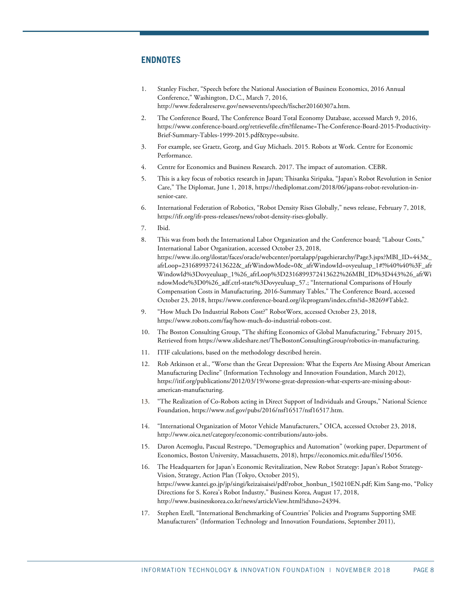## **ENDNOTES**

- <span id="page-7-17"></span><span id="page-7-0"></span>1. Stanley Fischer, "Speech before the National Association of Business Economics, 2016 Annual Conference," Washington, D.C., March 7, 2016, [http://www.federalreserve.gov/newsevents/speech/fischer20160307a.htm.](http://www.federalreserve.gov/newsevents/speech/fischer20160307a.htm)
- <span id="page-7-19"></span><span id="page-7-18"></span><span id="page-7-1"></span>2. The Conference Board, The Conference Board Total Economy Database, accessed March 9, 2016, [https://www.conference-board.org/retrievefile.cfm?filename=The-Conference-Board-2015-Productivity-](https://www.conference-board.org/retrievefile.cfm?filename=The-Conference-Board-2015-Productivity-Brief-Summary-Tables-1999-2015.pdf&type=subsite)[Brief-Summary-Tables-1999-2015.pdf&type=subsite.](https://www.conference-board.org/retrievefile.cfm?filename=The-Conference-Board-2015-Productivity-Brief-Summary-Tables-1999-2015.pdf&type=subsite)
- <span id="page-7-20"></span><span id="page-7-2"></span>3. For example, see Graetz, Georg, and Guy Michaels. 2015. Robots at Work. Centre for Economic Performance.
- <span id="page-7-3"></span>4. Centre for Economics and Business Research. 2017. The impact of automation. CEBR.
- <span id="page-7-21"></span><span id="page-7-4"></span>5. This is a key focus of robotics research in Japan; Thisanka Siripaka, "Japan's Robot Revolution in Senior Care," The Diplomat, June 1, 2018, [https://thediplomat.com/2018/06/japans-robot-revolution-in](https://thediplomat.com/2018/06/japans-robot-revolution-in-senior-care)[senior-care.](https://thediplomat.com/2018/06/japans-robot-revolution-in-senior-care)
- <span id="page-7-23"></span><span id="page-7-22"></span><span id="page-7-5"></span>6. International Federation of Robotics, "Robot Density Rises Globally," news release, February 7, 2018, [https://ifr.org/ifr-press-releases/news/robot-density-rises-globally.](https://ifr.org/ifr-press-releases/news/robot-density-rises-globally)
- <span id="page-7-6"></span>7. Ibid.
- <span id="page-7-24"></span><span id="page-7-7"></span>8. This was from both the International Labor Organization and the Conference board; "Labour Costs," International Labor Organization, accessed October 23, 2018, [https://www.ilo.org/ilostat/faces/oracle/webcenter/portalapp/pagehierarchy/Page3.jspx?MBI\\_ID=443&\\_](https://www.ilo.org/ilostat/faces/oracle/webcenter/portalapp/pagehierarchy/Page3.jspx?MBI_ID=443&_afrLoop=2316899372413622&_afrWindowMode=0&_afrWindowId=ovyeuluap_1#!%40%40%3F_afrWindowId%3Dovyeuluap_1%26_afrLoop%3D2316899372413622%26MBI_ID%3D443%26_afrWindowMode%3D0%26_adf.ctrl-state%3Dovyeuluap_57) [afrLoop=2316899372413622&\\_afrWindowMode=0&\\_afrWindowId=ovyeuluap\\_1#!%40%40%3F\\_afr](https://www.ilo.org/ilostat/faces/oracle/webcenter/portalapp/pagehierarchy/Page3.jspx?MBI_ID=443&_afrLoop=2316899372413622&_afrWindowMode=0&_afrWindowId=ovyeuluap_1#!%40%40%3F_afrWindowId%3Dovyeuluap_1%26_afrLoop%3D2316899372413622%26MBI_ID%3D443%26_afrWindowMode%3D0%26_adf.ctrl-state%3Dovyeuluap_57) [WindowId%3Dovyeuluap\\_1%26\\_afrLoop%3D2316899372413622%26MBI\\_ID%3D443%26\\_afrWi](https://www.ilo.org/ilostat/faces/oracle/webcenter/portalapp/pagehierarchy/Page3.jspx?MBI_ID=443&_afrLoop=2316899372413622&_afrWindowMode=0&_afrWindowId=ovyeuluap_1#!%40%40%3F_afrWindowId%3Dovyeuluap_1%26_afrLoop%3D2316899372413622%26MBI_ID%3D443%26_afrWindowMode%3D0%26_adf.ctrl-state%3Dovyeuluap_57) [ndowMode%3D0%26\\_adf.ctrl-state%3Dovyeuluap\\_57.](https://www.ilo.org/ilostat/faces/oracle/webcenter/portalapp/pagehierarchy/Page3.jspx?MBI_ID=443&_afrLoop=2316899372413622&_afrWindowMode=0&_afrWindowId=ovyeuluap_1#!%40%40%3F_afrWindowId%3Dovyeuluap_1%26_afrLoop%3D2316899372413622%26MBI_ID%3D443%26_afrWindowMode%3D0%26_adf.ctrl-state%3Dovyeuluap_57); "International Comparisons of Hourly Compensation Costs in Manufacturing, 2016-Summary Tables," The Conference Board, accessed October 23, 2018, [https://www.conference-board.org/ilcprogram/index.cfm?id=38269#Table2.](https://www.conference-board.org/ilcprogram/index.cfm?id=38269#Table2)
- <span id="page-7-26"></span><span id="page-7-25"></span><span id="page-7-8"></span>9. "How Much Do Industrial Robots Cost?" RobotWorx, accessed October 23, 2018, [https://www.robots.com/faq/how-much-do-industrial-robots-cost.](https://www.robots.com/faq/how-much-do-industrial-robots-cost)
- <span id="page-7-27"></span><span id="page-7-9"></span>10. The Boston Consulting Group, "The shifting Economics of Global Manufacturing," February 2015, Retrieved fro[m https://www.slideshare.net/TheBostonConsultingGroup/robotics-in-manufacturing.](https://www.slideshare.net/TheBostonConsultingGroup/robotics-in-manufacturing)
- <span id="page-7-28"></span><span id="page-7-11"></span><span id="page-7-10"></span>11. ITIF calculations, based on the methodology described herein.
- 12. Rob Atkinson et al., "Worse than the Great Depression: What the Experts Are Missing About American Manufacturing Decline" (Information Technology and Innovation Foundation, March 2012), [https://itif.org/publications/2012/03/19/worse-great-depression-what-experts-are-missing-about](https://itif.org/publications/2012/03/19/worse-great-depression-what-experts-are-missing-about-american-manufacturing)[american-manufacturing.](https://itif.org/publications/2012/03/19/worse-great-depression-what-experts-are-missing-about-american-manufacturing)
- <span id="page-7-30"></span><span id="page-7-29"></span><span id="page-7-12"></span>13. "The Realization of Co-Robots acting in Direct Support of Individuals and Groups," National Science Foundation, https://www.nsf.gov/pubs/2016/nsf16517/nsf16517.htm.
- <span id="page-7-13"></span>14. "International Organization of Motor Vehicle Manufacturers," OICA, accessed October 23, 2018, [http://www.oica.net/category/economic-contributions/auto-jobs.](http://www.oica.net/category/economic-contributions/auto-jobs)
- <span id="page-7-14"></span>15. Daron Acemoglu, Pascual Restrepo, "Demographics and Automation" (working paper, Department of Economics, Boston University, Massachusetts, 2018), [https://economics.mit.edu/files/15056.](https://economics.mit.edu/files/15056)
- <span id="page-7-15"></span>16. The Headquarters for Japan's Economic Revitalization, New Robot Strategy: Japan's Robot Strategy-Vision, Strategy, Action Plan (Tokyo, October 2015), [https://www.kantei.go.jp/jp/singi/keizaisaisei/pdf/robot\\_honbun\\_150210EN.pdf;](https://www.kantei.go.jp/jp/singi/keizaisaisei/pdf/robot_honbun_150210EN.pdf) Kim Sang-mo, "Policy Directions for S. Korea's Robot Industry," Business Korea, August 17, 2018, [http://www.businesskorea.co.kr/news/articleView.html?idxno=24394.](http://www.businesskorea.co.kr/news/articleView.html?idxno=24394)
- <span id="page-7-16"></span>17. Stephen Ezell, "International Benchmarking of Countries' Policies and Programs Supporting SME Manufacturers" (Information Technology and Innovation Foundations, September 2011),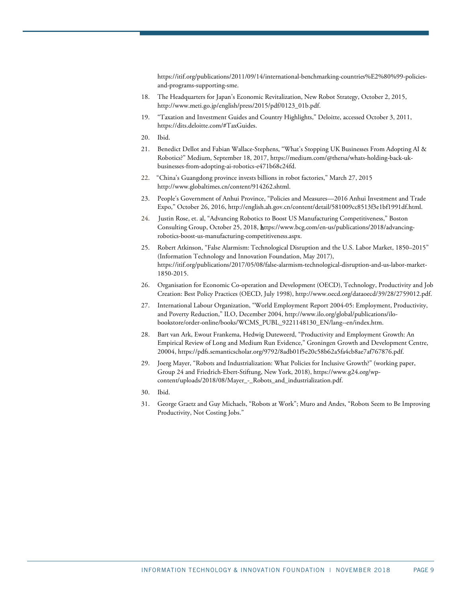[https://itif.org/publications/2011/09/14/international-benchmarking-countries%E2%80%99-policies](https://itif.org/publications/2011/09/14/international-benchmarking-countries%E2%80%99-policies-and-programs-supporting-sme)[and-programs-supporting-sme.](https://itif.org/publications/2011/09/14/international-benchmarking-countries%E2%80%99-policies-and-programs-supporting-sme)

- 18. The Headquarters for Japan's Economic Revitalization, New Robot Strategy, October 2, 2015, http://www.meti.go.jp/english/press/2015/pdf/0123\_01b.pdf.
- 19. "Taxation and Investment Guides and Country Highlights," Deloitte, accessed October 3, 2011, [https://dits.deloitte.com/#TaxGuides.](https://dits.deloitte.com/#TaxGuides)
- 20. Ibid.
- 21. Benedict Dellot and Fabian Wallace-Stephens, "What's Stopping UK Businesses From Adopting AI & Robotics?" Medium, September 18, 2017[, https://medium.com/@thersa/whats-holding-back-uk](https://medium.com/@thersa/whats-holding-back-uk-businesses-from-adopting-ai-robotics-e471b68c24fd)[businesses-from-adopting-ai-robotics-e471b68c24fd.](https://medium.com/@thersa/whats-holding-back-uk-businesses-from-adopting-ai-robotics-e471b68c24fd)
- 22. "China's Guangdong province invests billions in robot factories," March 27, 2015 [http://www.globaltimes.cn/content/914262.shtml.](http://www.globaltimes.cn/content/914262.shtml)
- 23. People's Government of Anhui Province, "Policies and Measures—2016 Anhui Investment and Trade Expo," October 26, 2016[, http://english.ah.gov.cn/content/detail/581009cc8513f3e1bf1991df.html.](http://english.ah.gov.cn/content/detail/581009cc8513f3e1bf1991df.html)
- 24. Justin Rose, et. al, "Advancing Robotics to Boost US Manufacturing Competitiveness," Boston Consulting Group, October 25, 2018, [https://www.bcg.com/en-us/publications/2018/advancing](https://www.bcg.com/en-us/publications/2018/advancing-robotics-boost-us-manufacturing-competitiveness.aspx)[robotics-boost-us-manufacturing-competitiveness.aspx.](https://www.bcg.com/en-us/publications/2018/advancing-robotics-boost-us-manufacturing-competitiveness.aspx)
- 25. Robert Atkinson, "False Alarmism: Technological Disruption and the U.S. Labor Market, 1850–2015" (Information Technology and Innovation Foundation, May 2017), [https://itif.org/publications/2017/05/08/false-alarmism-technological-disruption-and-us-labor-market-](https://itif.org/publications/2017/05/08/false-alarmism-technological-disruption-and-us-labor-market-1850-2015)[1850-2015.](https://itif.org/publications/2017/05/08/false-alarmism-technological-disruption-and-us-labor-market-1850-2015)
- 26. Organisation for Economic Co-operation and Development (OECD), Technology, Productivity and Job Creation: Best Policy Practices (OECD, July 1998)[, http://www.oecd.org/dataoecd/39/28/2759012.pdf.](http://www.oecd.org/dataoecd/39/28/2759012.pdf)
- 27. International Labour Organization, "World Employment Report 2004-05: Employment, Productivity, and Poverty Reduction," ILO, December 2004[, http://www.ilo.org/global/publications/ilo](http://www.ilo.org/global/publications/ilo-bookstore/order-online/books/WCMS_PUBL_9221148130_EN/lang--en/index.htm)[bookstore/order-online/books/WCMS\\_PUBL\\_9221148130\\_EN/lang--en/index.htm.](http://www.ilo.org/global/publications/ilo-bookstore/order-online/books/WCMS_PUBL_9221148130_EN/lang--en/index.htm)
- 28. Bart van Ark, Ewout Frankema, Hedwig Duteweerd, "Productivity and Employment Growth: An Empirical Review of Long and Medium Run Evidence," Groningen Growth and Development Centre, 20004, [https://pdfs.semanticscholar.org/9792/8adb01f5e20c58b62a5fa4cb8ae7af767876.pdf.](https://pdfs.semanticscholar.org/9792/8adb01f5e20c58b62a5fa4cb8ae7af767876.pdf)
- 29. Joerg Mayer, "Robots and Industrialization: What Policies for Inclusive Growth?" (working paper, Group 24 and Friedrich-Ebert-Stiftung, New York, 2018), https://www.g24.org/wpcontent/uploads/2018/08/Mayer\_-\_Robots\_and\_industrialization.pdf.
- 30. Ibid.
- 31. George Graetz and Guy Michaels, "Robots at Work"; Muro and Andes, "Robots Seem to Be Improving Productivity, Not Costing Jobs."